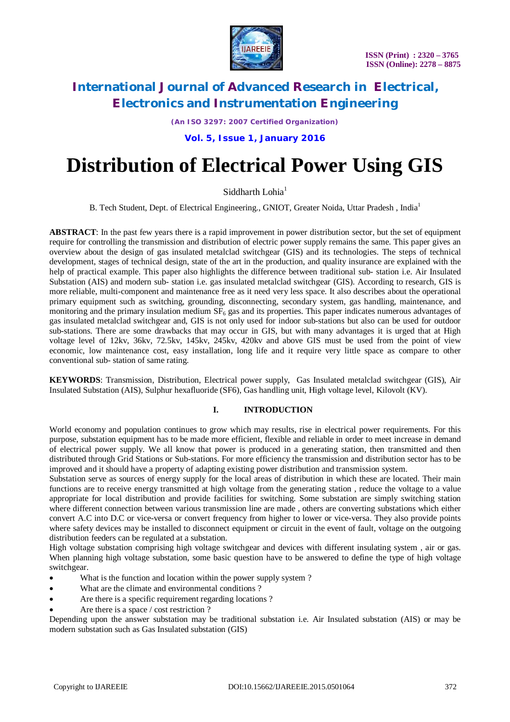

*(An ISO 3297: 2007 Certified Organization)*

**Vol. 5, Issue 1, January 2016**

# **Distribution of Electrical Power Using GIS**

Siddharth Lohia<sup>1</sup>

B. Tech Student, Dept. of Electrical Engineering., GNIOT, Greater Noida, Uttar Pradesh, India<sup>1</sup>

**ABSTRACT**: In the past few years there is a rapid improvement in power distribution sector, but the set of equipment require for controlling the transmission and distribution of electric power supply remains the same. This paper gives an overview about the design of gas insulated metalclad switchgear (GIS) and its technologies. The steps of technical development, stages of technical design, state of the art in the production, and quality insurance are explained with the help of practical example. This paper also highlights the difference between traditional sub- station i.e. Air Insulated Substation (AIS) and modern sub- station i.e. gas insulated metalclad switchgear (GIS). According to research, GIS is more reliable, multi-component and maintenance free as it need very less space. It also describes about the operational primary equipment such as switching, grounding, disconnecting, secondary system, gas handling, maintenance, and monitoring and the primary insulation medium  $SF<sub>6</sub>$  gas and its properties. This paper indicates numerous advantages of gas insulated metalclad switchgear and, GIS is not only used for indoor sub-stations but also can be used for outdoor sub-stations. There are some drawbacks that may occur in GIS, but with many advantages it is urged that at High voltage level of 12kv, 36kv, 72.5kv, 145kv, 245kv, 420kv and above GIS must be used from the point of view economic, low maintenance cost, easy installation, long life and it require very little space as compare to other conventional sub- station of same rating.

**KEYWORDS**: Transmission, Distribution, Electrical power supply, Gas Insulated metalclad switchgear (GIS), Air Insulated Substation (AIS), Sulphur hexafluoride (SF6), Gas handling unit, High voltage level, Kilovolt (KV)*.*

### **I. INTRODUCTION**

World economy and population continues to grow which may results, rise in electrical power requirements. For this purpose, substation equipment has to be made more efficient, flexible and reliable in order to meet increase in demand of electrical power supply. We all know that power is produced in a generating station, then transmitted and then distributed through Grid Stations or Sub-stations. For more efficiency the transmission and distribution sector has to be improved and it should have a property of adapting existing power distribution and transmission system.

Substation serve as sources of energy supply for the local areas of distribution in which these are located. Their main functions are to receive energy transmitted at high voltage from the generating station , reduce the voltage to a value appropriate for local distribution and provide facilities for switching. Some substation are simply switching station where different connection between various transmission line are made , others are converting substations which either convert A.C into D.C or vice-versa or convert frequency from higher to lower or vice-versa. They also provide points where safety devices may be installed to disconnect equipment or circuit in the event of fault, voltage on the outgoing distribution feeders can be regulated at a substation.

High voltage substation comprising high voltage switchgear and devices with different insulating system , air or gas. When planning high voltage substation, some basic question have to be answered to define the type of high voltage switchgear.

- What is the function and location within the power supply system?
- What are the climate and environmental conditions ?
- Are there is a specific requirement regarding locations ?
- Are there is a space / cost restriction ?

Depending upon the answer substation may be traditional substation i.e. Air Insulated substation (AIS) or may be modern substation such as Gas Insulated substation (GIS)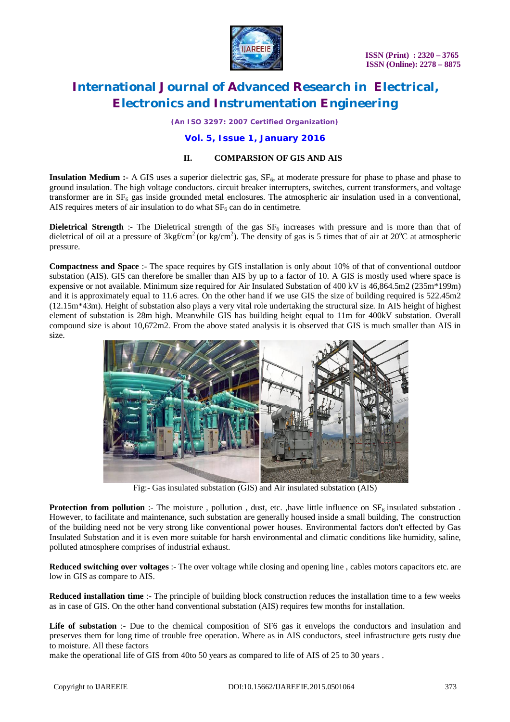

*(An ISO 3297: 2007 Certified Organization)*

### **Vol. 5, Issue 1, January 2016**

### **II. COMPARSION OF GIS AND AIS**

**Insulation Medium :-** A GIS uses a superior dielectric gas,  $SF<sub>6</sub>$ , at moderate pressure for phase to phase and phase to ground insulation. The high voltage conductors. circuit breaker interrupters, switches, current transformers, and voltage transformer are in  $SF<sub>6</sub>$  gas inside grounded metal enclosures. The atmospheric air insulation used in a conventional, AIS requires meters of air insulation to do what  $SF<sub>6</sub>$  can do in centimetre.

**Dieletrical Strength** :- The Dieletrical strength of the gas  $SF_6$  increases with pressure and is more than that of dieletrical of oil at a pressure of  $3\text{kgf/cm}^2$  (or kg/cm<sup>2</sup>). The density of gas is 5 times that of air at 20<sup>o</sup>C at atmospheric pressure.

**Compactness and Space** :- The space requires by GIS installation is only about 10% of that of conventional outdoor substation (AIS). GIS can therefore be smaller than AIS by up to a factor of 10. A GIS is mostly used where space is expensive or not available. Minimum size required for Air Insulated Substation of 400 kV is 46,864.5m2 (235m\*199m) and it is approximately equal to 11.6 acres. On the other hand if we use GIS the size of building required is 522.45m2 (12.15m\*43m). Height of substation also plays a very vital role undertaking the structural size. In AIS height of highest element of substation is 28m high. Meanwhile GIS has building height equal to 11m for 400kV substation. Overall compound size is about 10,672m2. From the above stated analysis it is observed that GIS is much smaller than AIS in size.



Fig:- Gas insulated substation (GIS) and Air insulated substation (AIS)

**Protection from pollution** :- The moisture, pollution, dust, etc., have little influence on  $SF<sub>6</sub>$  insulated substation. However, to facilitate and maintenance, such substation are generally housed inside a small building, The construction of the building need not be very strong like conventional power houses. Environmental factors don't effected by Gas Insulated Substation and it is even more suitable for harsh environmental and climatic conditions like humidity, saline, polluted atmosphere comprises of industrial exhaust.

**Reduced switching over voltages** :- The over voltage while closing and opening line , cables motors capacitors etc. are low in GIS as compare to AIS.

**Reduced installation time** :- The principle of building block construction reduces the installation time to a few weeks as in case of GIS. On the other hand conventional substation (AIS) requires few months for installation.

Life of substation :- Due to the chemical composition of SF6 gas it envelops the conductors and insulation and preserves them for long time of trouble free operation. Where as in AIS conductors, steel infrastructure gets rusty due to moisture. All these factors

make the operational life of GIS from 40to 50 years as compared to life of AIS of 25 to 30 years .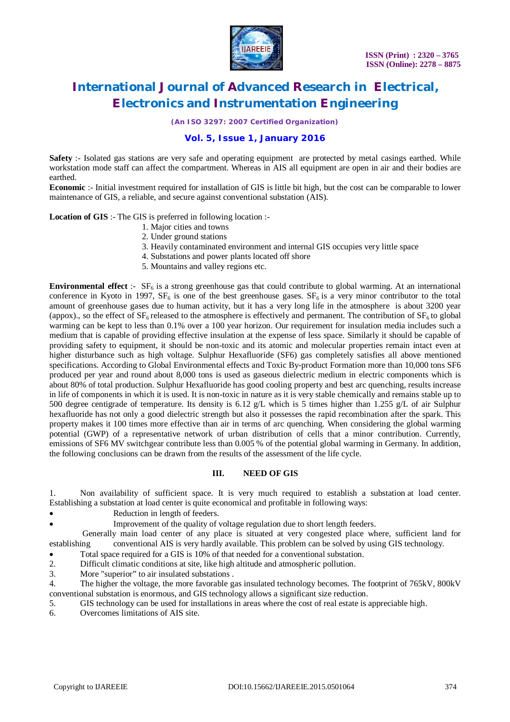

*(An ISO 3297: 2007 Certified Organization)*

### **Vol. 5, Issue 1, January 2016**

**Safety** :- Isolated gas stations are very safe and operating equipment are protected by metal casings earthed. While workstation mode staff can affect the compartment. Whereas in AIS all equipment are open in air and their bodies are earthed.

**Economic** :- Initial investment required for installation of GIS is little bit high, but the cost can be comparable to lower maintenance of GIS, a reliable, and secure against conventional substation (AIS).

#### **Location of GIS** :- The GIS is preferred in following location :-

- 1. Major cities and towns
- 2. Under ground stations
- 3. Heavily contaminated environment and internal GIS occupies very little space
- 4. Substations and power plants located off shore
- 5. Mountains and valley regions etc.

**Environmental effect** :-  $SF_6$  is a strong greenhouse gas that could contribute to global warming. At an international conference in Kyoto in 1997,  $SF_6$  is one of the best greenhouse gases.  $SF_6$  is a very minor contributor to the total amount of greenhouse gases due to human activity, but it has a very long life in the atmosphere is about 3200 year (appox)., so the effect of  $SF<sub>6</sub>$  released to the atmosphere is effectively and permanent. The contribution of  $SF<sub>6</sub>$  to global warming can be kept to less than 0.1% over a 100 year horizon. Our requirement for insulation media includes such a medium that is capable of providing effective insulation at the expense of less space. Similarly it should be capable of providing safety to equipment, it should be non-toxic and its atomic and molecular properties remain intact even at higher disturbance such as high voltage. Sulphur Hexafluoride (SF6) gas completely satisfies all above mentioned specifications. According to Global Environmental effects and Toxic By-product Formation more than 10,000 tons SF6 produced per year and round about 8,000 tons is used as gaseous dielectric medium in electric components which is about 80% of total production. Sulphur Hexafluoride has good cooling property and best arc quenching, results increase in life of components in which it is used. It is non-toxic in nature as it is very stable chemically and remains stable up to 500 degree centigrade of temperature. Its density is 6.12 g/L which is 5 times higher than 1.255 g/L of air Sulphur hexafluoride has not only a good dielectric strength but also it possesses the rapid recombination after the spark. This property makes it 100 times more effective than air in terms of arc quenching. When considering the global warming potential (GWP) of a representative network of urban distribution of cells that a minor contribution. Currently, emissions of SF6 MV switchgear contribute less than 0.005 % of the potential global warming in Germany. In addition, the following conclusions can be drawn from the results of the assessment of the life cycle.

#### **III. NEED OF GIS**

1. Non availability of sufficient space. It is very much required to establish a substation at load center. Establishing a substation at load center is quite economical and profitable in following ways:

- Reduction in length of feeders.
	- Improvement of the quality of voltage regulation due to short length feeders.

Generally main load center of any place is situated at very congested place where, sufficient land for establishing conventional AIS is very hardly available. This problem can be solved by using GIS technology.

Total space required for a GIS is 10% of that needed for a conventional substation.

2. Difficult climatic conditions at site, like high altitude and atmospheric pollution.

3. More "superior" to air insulated substations .

4. The higher the voltage, the more favorable gas insulated technology becomes. The footprint of 765kV, 800kV conventional substation is enormous, and GIS technology allows a significant size reduction.

5. GIS technology can be used for installations in areas where the cost of real estate is appreciable high.

6. Overcomes limitations of AIS site.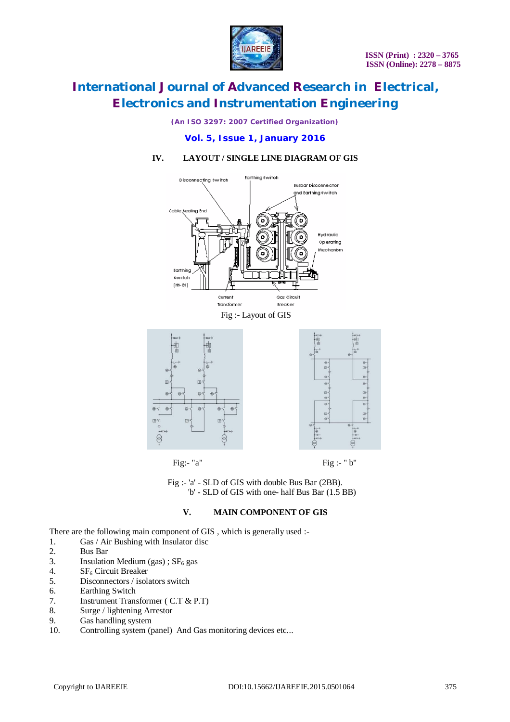

*(An ISO 3297: 2007 Certified Organization)*

### **Vol. 5, Issue 1, January 2016**

## **IV. LAYOUT / SINGLE LINE DIAGRAM OF GIS**





Fig:- "a" Fig :- "b"

Fig :- 'a' - SLD of GIS with double Bus Bar (2BB). 'b' - SLD of GIS with one- half Bus Bar (1.5 BB)

#### **V. MAIN COMPONENT OF GIS**

There are the following main component of GIS, which is generally used :-

- 1. Gas / Air Bushing with Insulator disc<br>2. Bus Bar
- 2. Bus Bar<br>3. Insulation
- 3. Insulation Medium (gas) ;  $SF_6$  gas<br>4.  $SF_6$  Circuit Breaker
- 4.  $SF_6$  Circuit Breaker<br>5. Disconnectors / isola
- Disconnectors / isolators switch
- 6. Earthing Switch
- 7. Instrument Transformer ( C.T & P.T)
- 8. Surge / lightening Arrestor
- 9. Gas handling system
- 10. Controlling system (panel) And Gas monitoring devices etc...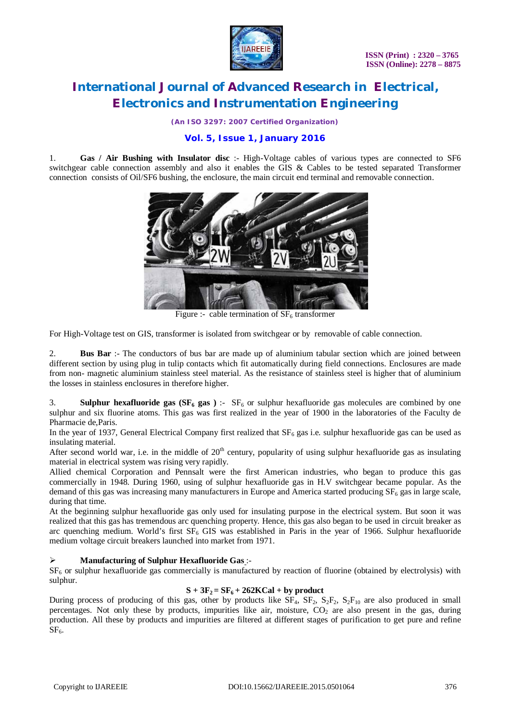

*(An ISO 3297: 2007 Certified Organization)*

## **Vol. 5, Issue 1, January 2016**

1. **Gas / Air Bushing with Insulator disc** :- High-Voltage cables of various types are connected to SF6 switchgear cable connection assembly and also it enables the GIS & Cables to be tested separated Transformer connection consists of Oil/SF6 bushing, the enclosure, the main circuit end terminal and removable connection.



Figure :- cable termination of  $SF<sub>6</sub>$  transformer

For High-Voltage test on GIS, transformer is isolated from switchgear or by removable of cable connection.

2. **Bus Bar** :- The conductors of bus bar are made up of aluminium tabular section which are joined between different section by using plug in tulip contacts which fit automatically during field connections. Enclosures are made from non- magnetic aluminium stainless steel material. As the resistance of stainless steel is higher that of aluminium the losses in stainless enclosures in therefore higher.

3. **Sulphur hexafluoride gas (** $SF_6$  **gas**) :-  $SF_6$  or sulphur hexafluoride gas molecules are combined by one sulphur and six fluorine atoms. This gas was first realized in the year of 1900 in the laboratories of the Faculty de Pharmacie de,Paris.

In the year of 1937, General Electrical Company first realized that  $SF<sub>6</sub>$  gas i.e. sulphur hexafluoride gas can be used as insulating material.

After second world war, i.e. in the middle of  $20<sup>th</sup>$  century, popularity of using sulphur hexafluoride gas as insulating material in electrical system was rising very rapidly.

Allied chemical Corporation and Pennsalt were the first American industries, who began to produce this gas commercially in 1948. During 1960, using of sulphur hexafluoride gas in H.V switchgear became popular. As the demand of this gas was increasing many manufacturers in Europe and America started producing  $SF<sub>6</sub>$  gas in large scale, during that time.

At the beginning sulphur hexafluoride gas only used for insulating purpose in the electrical system. But soon it was realized that this gas has tremendous arc quenching property. Hence, this gas also began to be used in circuit breaker as arc quenching medium. World's first  $SF<sub>6</sub> GIS$  was established in Paris in the year of 1966. Sulphur hexafluoride medium voltage circuit breakers launched into market from 1971.

### **Manufacturing of Sulphur Hexafluoride Gas** :-

 $SF<sub>6</sub>$  or sulphur hexafluoride gas commercially is manufactured by reaction of fluorine (obtained by electrolysis) with sulphur.

#### $S + 3F_2 = SF_6 + 262KCal + by product$

During process of producing of this gas, other by products like  $\overline{SF_4}$ ,  $\overline{SF_2}$ ,  $\overline{S_2F_2}$ ,  $\overline{S_2F_{10}}$  are also produced in small percentages. Not only these by products, impurities like air, moisture,  $CO<sub>2</sub>$  are also present in the gas, during production. All these by products and impurities are filtered at different stages of purification to get pure and refine  $SF<sub>6</sub>$ .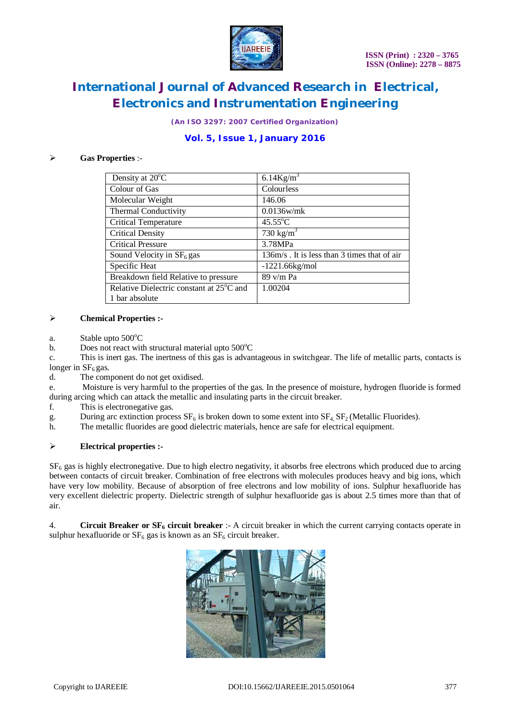

*(An ISO 3297: 2007 Certified Organization)*

# **Vol. 5, Issue 1, January 2016**

#### **Gas Properties** :-

| Density at 20°C                                       | $6.14$ Kg/m <sup>3</sup>                    |
|-------------------------------------------------------|---------------------------------------------|
| Colour of Gas                                         | Colourless                                  |
| Molecular Weight                                      | 146.06                                      |
| Thermal Conductivity                                  | $0.0136$ w/mk                               |
| <b>Critical Temperature</b>                           | $45.55^{\circ}$ C                           |
| <b>Critical Density</b>                               | 730 kg/ $m^3$                               |
| <b>Critical Pressure</b>                              | 3.78MPa                                     |
| Sound Velocity in $SF6$ gas                           | 136m/s. It is less than 3 times that of air |
| Specific Heat                                         | $-1221.66kg/mol$                            |
| Breakdown field Relative to pressure                  | 89 v/m Pa                                   |
| Relative Dielectric constant at 25 <sup>°</sup> C and | 1.00204                                     |
| 1 bar absolute                                        |                                             |

#### **Chemical Properties :-**

- a. Stable upto  $500^{\circ}$ C
- b. Does not react with structural material upto  $500^{\circ}$ C

c. This is inert gas. The inertness of this gas is advantageous in switchgear. The life of metallic parts, contacts is longer in  $SF<sub>6</sub>$  gas.

d. The component do not get oxidised.

e. Moisture is very harmful to the properties of the gas. In the presence of moisture, hydrogen fluoride is formed during arcing which can attack the metallic and insulating parts in the circuit breaker.

- f. This is electronegative gas.
- g. During arc extinction process  $SF_6$  is broken down to some extent into  $SF_4$ ,  $SF_2$  (Metallic Fluorides).<br>h. The metallic fluorides are good dielectric materials, hence are safe for electrical equipment.
- The metallic fluorides are good dielectric materials, hence are safe for electrical equipment.

#### **Electrical properties :-**

 $SF<sub>6</sub>$  gas is highly electronegative. Due to high electro negativity, it absorbs free electrons which produced due to arcing between contacts of circuit breaker. Combination of free electrons with molecules produces heavy and big ions, which have very low mobility. Because of absorption of free electrons and low mobility of ions. Sulphur hexafluoride has very excellent dielectric property. Dielectric strength of sulphur hexafluoride gas is about 2.5 times more than that of air.

4. **Circuit Breaker or SF<sup>6</sup> circuit breaker** :- A circuit breaker in which the current carrying contacts operate in sulphur hexafluoride or  $SF_6$  gas is known as an  $SF_6$  circuit breaker.

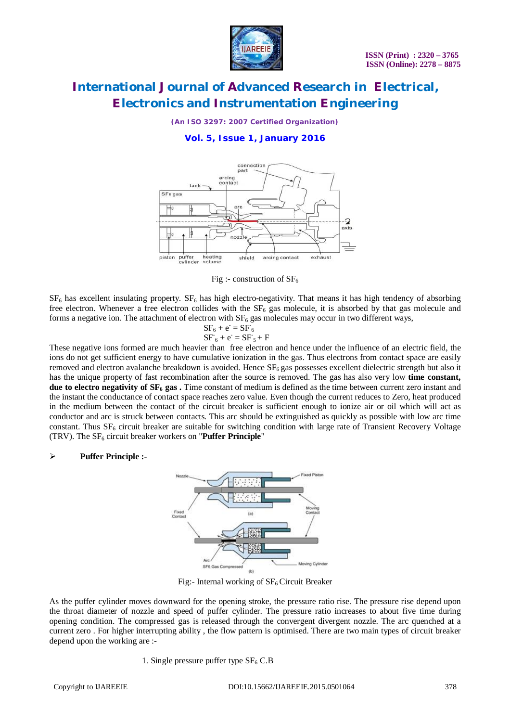

*(An ISO 3297: 2007 Certified Organization)*

## **Vol. 5, Issue 1, January 2016**



Fig :- construction of  $SF_6$ 

 $SF<sub>6</sub>$  has excellent insulating property.  $SF<sub>6</sub>$  has high electro-negativity. That means it has high tendency of absorbing free electron. Whenever a free electron collides with the  $SF<sub>6</sub>$  gas molecule, it is absorbed by that gas molecule and forms a negative ion. The attachment of electron with  $SF<sub>6</sub>$  gas molecules may occur in two different ways,

$$
SF_6 + e^- = SF_6
$$
  

$$
SF_6 + e^- = SF_5 + F
$$

These negative ions formed are much heavier than free electron and hence under the influence of an electric field, the ions do not get sufficient energy to have cumulative ionization in the gas. Thus electrons from contact space are easily removed and electron avalanche breakdown is avoided. Hence  $SF<sub>6</sub>$ gas possesses excellent dielectric strength but also it has the unique property of fast recombination after the source is removed. The gas has also very low **time constant, due to electro negativity of SF<sup>6</sup> gas .** Time constant of medium is defined as the time between current zero instant and the instant the conductance of contact space reaches zero value. Even though the current reduces to Zero, heat produced in the medium between the contact of the circuit breaker is sufficient enough to ionize air or oil which will act as conductor and arc is struck between contacts. This arc should be extinguished as quickly as possible with low arc time constant. Thus  $SF<sub>6</sub>$  circuit breaker are suitable for switching condition with large rate of Transient Recovery Voltage (TRV). The SF<sub>6</sub> circuit breaker workers on "**Puffer Principle**"

### **Puffer Principle :-**



Fig:- Internal working of  $SF<sub>6</sub>$  Circuit Breaker

As the puffer cylinder moves downward for the opening stroke, the pressure ratio rise. The pressure rise depend upon the throat diameter of nozzle and speed of puffer cylinder. The pressure ratio increases to about five time during opening condition. The compressed gas is released through the convergent divergent nozzle. The arc quenched at a current zero . For higher interrupting ability , the flow pattern is optimised. There are two main types of circuit breaker depend upon the working are :-

1. Single pressure puffer type  $SF_6$  C.B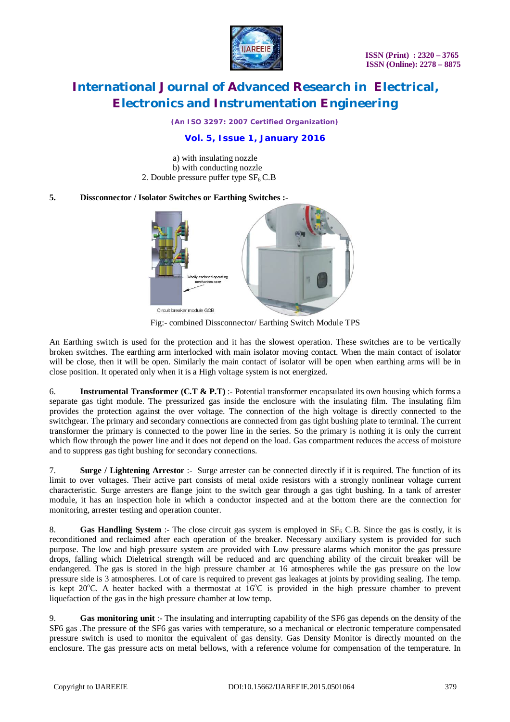

*(An ISO 3297: 2007 Certified Organization)*

# **Vol. 5, Issue 1, January 2016**

a) with insulating nozzle b) with conducting nozzle 2. Double pressure puffer type  $SF<sub>6</sub> C.B$ 

#### **5. Dissconnector / Isolator Switches or Earthing Switches :-**



Fig:- combined Dissconnector/ Earthing Switch Module TPS

An Earthing switch is used for the protection and it has the slowest operation. These switches are to be vertically broken switches. The earthing arm interlocked with main isolator moving contact. When the main contact of isolator will be close, then it will be open. Similarly the main contact of isolator will be open when earthing arms will be in close position. It operated only when it is a High voltage system is not energized.

6. **Instrumental Transformer (C.T & P.T)** :- Potential transformer encapsulated its own housing which forms a separate gas tight module. The pressurized gas inside the enclosure with the insulating film. The insulating film provides the protection against the over voltage. The connection of the high voltage is directly connected to the switchgear. The primary and secondary connections are connected from gas tight bushing plate to terminal. The current transformer the primary is connected to the power line in the series. So the primary is nothing it is only the current which flow through the power line and it does not depend on the load. Gas compartment reduces the access of moisture and to suppress gas tight bushing for secondary connections.

7. **Surge / Lightening Arrestor** :- Surge arrester can be connected directly if it is required. The function of its limit to over voltages. Their active part consists of metal oxide resistors with a strongly nonlinear voltage current characteristic. Surge arresters are flange joint to the switch gear through a gas tight bushing. In a tank of arrester module, it has an inspection hole in which a conductor inspected and at the bottom there are the connection for monitoring, arrester testing and operation counter.

8. **Gas Handling System** :- The close circuit gas system is employed in SF<sub>6</sub> C.B. Since the gas is costly, it is reconditioned and reclaimed after each operation of the breaker. Necessary auxiliary system is provided for such purpose. The low and high pressure system are provided with Low pressure alarms which monitor the gas pressure drops, falling which Dieletrical strength will be reduced and arc quenching ability of the circuit breaker will be endangered. The gas is stored in the high pressure chamber at 16 atmospheres while the gas pressure on the low pressure side is 3 atmospheres. Lot of care is required to prevent gas leakages at joints by providing sealing. The temp. is kept 20 $^{\circ}$ C. A heater backed with a thermostat at  $16^{\circ}$ C is provided in the high pressure chamber to prevent liquefaction of the gas in the high pressure chamber at low temp.

9. **Gas monitoring unit** :- The insulating and interrupting capability of the SF6 gas depends on the density of the SF6 gas .The pressure of the SF6 gas varies with temperature, so a mechanical or electronic temperature compensated pressure switch is used to monitor the equivalent of gas density. Gas Density Monitor is directly mounted on the enclosure. The gas pressure acts on metal bellows, with a reference volume for compensation of the temperature. In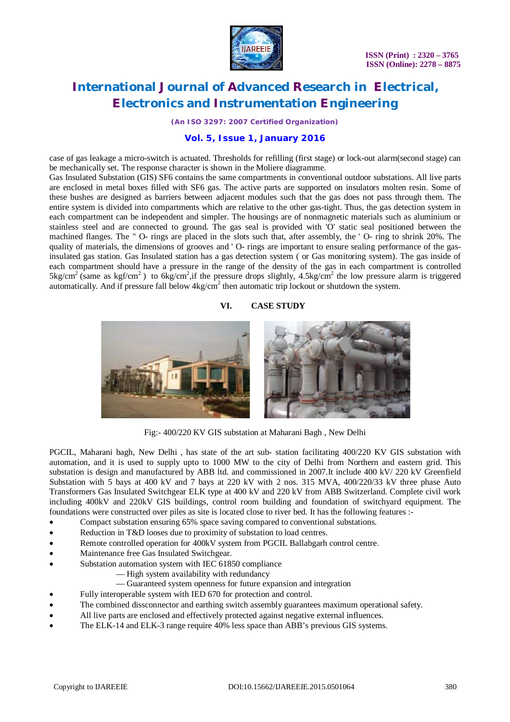

*(An ISO 3297: 2007 Certified Organization)*

### **Vol. 5, Issue 1, January 2016**

case of gas leakage a micro-switch is actuated. Thresholds for refilling (first stage) or lock-out alarm(second stage) can be mechanically set. The response character is shown in the Moliere diagramme.

Gas Insulated Substation (GIS) SF6 contains the same compartments in conventional outdoor substations. All live parts are enclosed in metal boxes filled with SF6 gas. The active parts are supported on insulators molten resin. Some of these bushes are designed as barriers between adjacent modules such that the gas does not pass through them. The entire system is divided into compartments which are relative to the other gas-tight. Thus, the gas detection system in each compartment can be independent and simpler. The housings are of nonmagnetic materials such as aluminium or stainless steel and are connected to ground. The gas seal is provided with 'O' static seal positioned between the machined flanges. The " O- rings are placed in the slots such that, after assembly, the ' O- ring to shrink 20%. The quality of materials, the dimensions of grooves and ' O- rings are important to ensure sealing performance of the gasinsulated gas station. Gas Insulated station has a gas detection system ( or Gas monitoring system). The gas inside of each compartment should have a pressure in the range of the density of the gas in each compartment is controlled  $5 \text{kg/cm}^2$  (same as kgf/cm<sup>2</sup>) to 6kg/cm<sup>2</sup>, if the pressure drops slightly, 4.5kg/cm<sup>2</sup> the low pressure alarm is triggered automatically. And if pressure fall below  $4\text{kg/cm}^2$  then automatic trip lockout or shutdown the system.

#### **VI. CASE STUDY**



Fig:- 400/220 KV GIS substation at Maharani Bagh , New Delhi

PGCIL, Maharani bagh, New Delhi , has state of the art sub- station facilitating 400/220 KV GIS substation with automation, and it is used to supply upto to 1000 MW to the city of Delhi from Northern and eastern grid. This substation is design and manufactured by ABB ltd. and commissioned in 2007.It include 400 kV/ 220 kV Greenfield Substation with 5 bays at 400 kV and 7 bays at 220 kV with 2 nos. 315 MVA, 400/220/33 kV three phase Auto Transformers Gas Insulated Switchgear ELK type at 400 kV and 220 kV from ABB Switzerland. Complete civil work including 400kV and 220kV GIS buildings, control room building and foundation of switchyard equipment. The foundations were constructed over piles as site is located close to river bed. It has the following features :-

- Compact substation ensuring 65% space saving compared to conventional substations.
- Reduction in T&D looses due to proximity of substation to load centres.
- Remote controlled operation for 400kV system from PGCIL Ballabgarh control centre.
- Maintenance free Gas Insulated Switchgear.
- Substation automation system with IEC 61850 compliance
	- –– High system availability with redundancy
	- –– Guaranteed system openness for future expansion and integration
- Fully interoperable system with IED 670 for protection and control.
- The combined dissconnector and earthing switch assembly guarantees maximum operational safety.
- All live parts are enclosed and effectively protected against negative external influences.
- The ELK-14 and ELK-3 range require 40% less space than ABB's previous GIS systems.